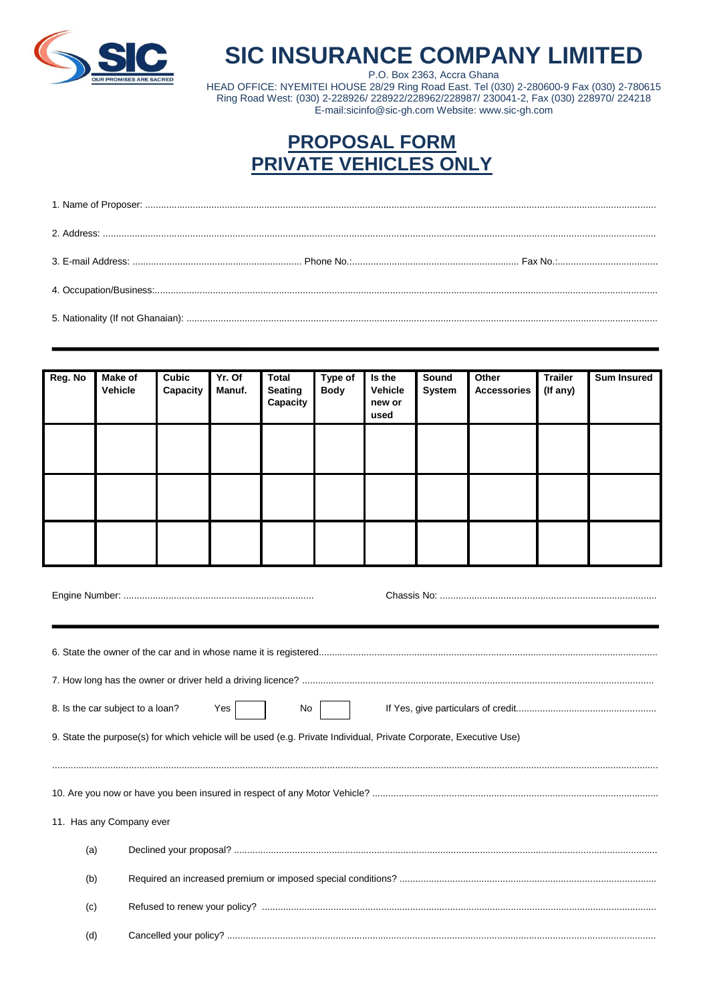

## **SIC INSURANCE COMPANY LIMITED**

P.O. Box 2363, Accra Ghana<br>P.O. Box 2363, Accra Ghana<br>HEAD OFFICE: NYEMITEI HOUSE 28/29 Ring Road East. Tel (030) 2-280600-9 Fax (030) 2-780615 Ring Road West: (030) 2-228926/ 228922/228962/228987/ 230041-2, Fax (030) 228970/ 224218 E-mail:sicinfo@sic-gh.com Website: www.sic-gh.com

## **PROPOSAL FORM PRIVATE VEHICLES ONLY**

| Reg. No | <b>Make of</b><br>Vehicle | <b>Cubic</b><br>Capacity | Yr. Of<br>Manuf. | <b>Total</b><br><b>Seating</b><br>Capacity | Type of<br><b>Body</b> | Is the<br>Vehicle<br>new or<br>used | Sound<br>System | Other<br><b>Accessories</b> | <b>Trailer</b><br>(If any) | <b>Sum Insured</b> |
|---------|---------------------------|--------------------------|------------------|--------------------------------------------|------------------------|-------------------------------------|-----------------|-----------------------------|----------------------------|--------------------|
|         |                           |                          |                  |                                            |                        |                                     |                 |                             |                            |                    |
|         |                           |                          |                  |                                            |                        |                                     |                 |                             |                            |                    |
|         |                           |                          |                  |                                            |                        |                                     |                 |                             |                            |                    |

| 8. Is the car subject to a loan? | Yes  <br>No I                                                                                                      |  |  |  |
|----------------------------------|--------------------------------------------------------------------------------------------------------------------|--|--|--|
|                                  | 9. State the purpose(s) for which vehicle will be used (e.g. Private Individual, Private Corporate, Executive Use) |  |  |  |
|                                  |                                                                                                                    |  |  |  |
|                                  |                                                                                                                    |  |  |  |
|                                  |                                                                                                                    |  |  |  |
| 11. Has any Company ever         |                                                                                                                    |  |  |  |
| (a)                              |                                                                                                                    |  |  |  |
| (b)                              |                                                                                                                    |  |  |  |
| (c)                              |                                                                                                                    |  |  |  |
| (d)                              |                                                                                                                    |  |  |  |